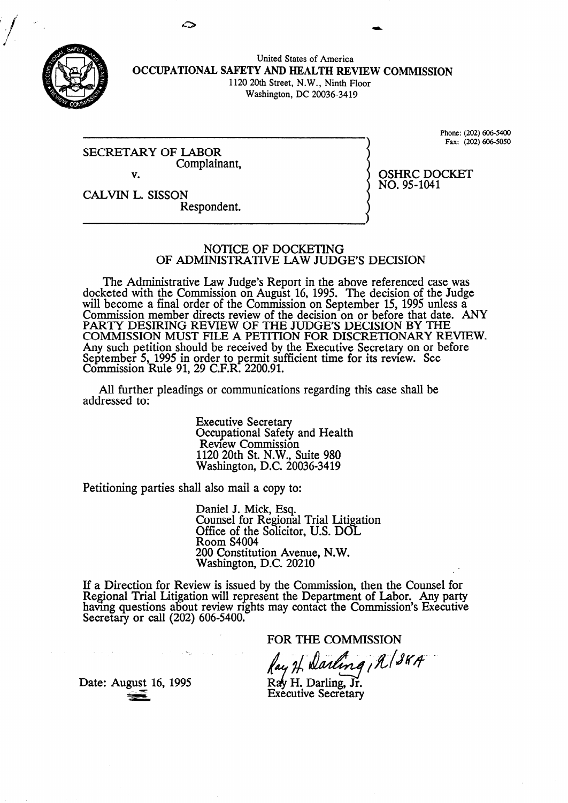

United States of America **OCCUPATIONAL SAFETY AND HEALTH REXEW COMMISSION**  1120 20th Street, N.W., Ninth Floor Washington, DC 20036-34 19

SECRETARY OF LABOR Complainant, v.

Phone: (202) 606-5400 Fax: (202) 606-5050

OSHRC DOCKET

NO. 95-1041

CALVIN L. SISSON Respondent.

#### NOTICE OF DOCKETING OF ADMINISTRATIVE LAW JUDGE'S DECISION

The Administrative Law Judge's Report in the above referenced case was docketed with the Commission on August 16, 1995. The decision of the Judge will become a final order of the Commission on September 15, 1995 unless a Commission member directs review of the decision on or before that date. ANY PARTY DESIRING REVIEW OF THE JUDGE'S DECISION BY THE COMMISSION MUST FILE A PETITION FOR DISCRETIONARY REVIEW. Any such petition should be received by the Executive Secretary on or before September 5, 1995 in order to permit sufficient time for its review. See Commission Rule 91, 29 C.F.R. 2200.91.

All further pleadings or communications regarding this case shall be addressed to:

> Executive Secretary Occupational Safety and Health Review Commission 1120 20th St. N.W., Suite 980 Washington, D.C. 20036-3419

Petitioning parties shall also mail a copy to:

.- -' -

Daniel J. Mick, Esq. Counsel for Regional Trial Litigation Office of the Solicitor, U.S. DOL Room S4004 200 Constitution Avenue, N.W. Washington, D.C. 20210

If a Direction for Review is issued by the Commission. then the Counsel for Regional Trial Litigation will represent the Department of Labor. Any party having questions about review rights may contact the Commission's Executive Secretary or call  $(202)$  606-5400.

FOR THE COMMISSION<br>fay H. Darling, A (38A)

Ray H. Darling, Jr. **Executive Secretary** 

Date: August 16, 1995

 $\mathcal{A}=\{x_1,\ldots,x_n\}$  , where  $\mathcal{A}=\{x_1,\ldots,x_n\}$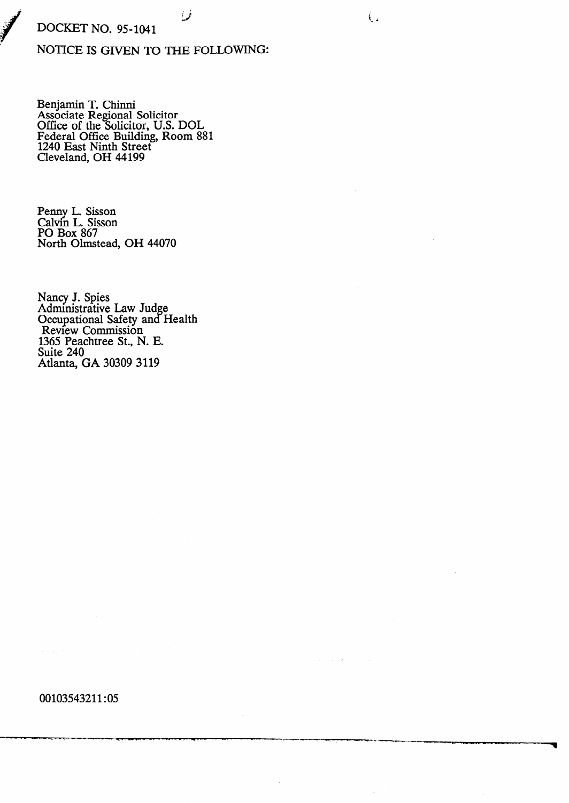# **DOCKET NO. 95-1041**

# NOTICE IS GIVEN TO THE FOLLOWING:

فمسا

 $\left(\right)$ 

 $\sim 10^{-1}$  and

Benjamin T. Chinni<br>Associate Regional Solicitor<br>Office of the Solicitor, U.S. DOL<br>Federal Office Building, Room 881<br>1240 East Ninth Street<br>Cleveland, OH 44199

Penny L. Sisson<br>Calvin L. Sisson<br>PO Box 867 North Olmstead, OH 44070

Nancy J. Spies<br>Administrative Law Judge<br>Occupational Safety and Health<br>Review Commission 1365 Peachtree St., N. E. Suite 240 Atlanta, GA 30309 3119

00103543211:05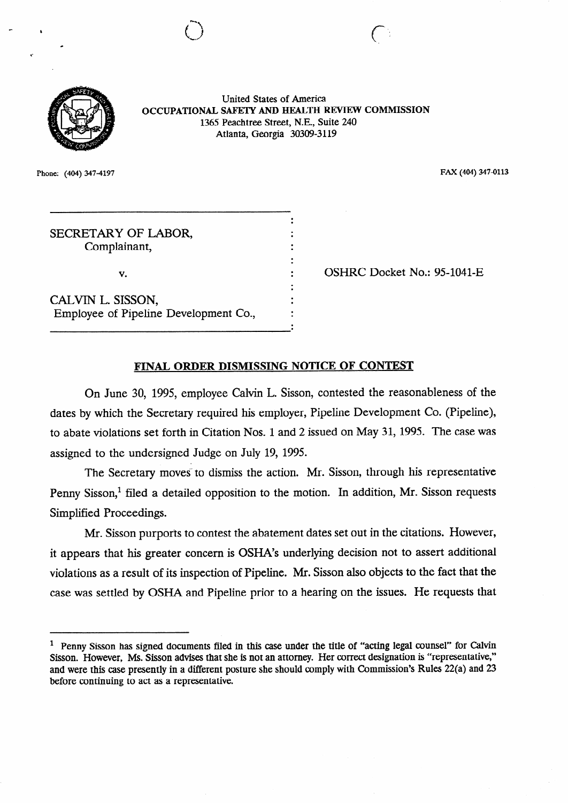

United States of America **OCCUPATIONAL** SAFETY **AND** HEALTH REVIEW COMMISSION 1365 Peachtree Street, N.E., Suite 240 Atlanta, Georgia 30309-3119

.

 $\ddot{\cdot}$ 

tl . . **c,\* ,** 

**Phone: (404) 3474197 FAX (404) 347-0113** 

# SECRETARY OF LABOR, Complainant,

v. .

CALVIN L. SISSON, Employee of Pipeline Development Co.,

-1

OSHRC Docket No.: 95-1041-E

# **FINAL ORDER DISMISSING NOTICE OF CONTEST**

On June 30, 1995, employee Calvin L. Sisson, contested the reasonableness of the dates by which the Secretary required his employer, Pipeline Development Co. (Pipeline), to abate violations set forth in Citation Nos. 1 and 2 issued on May 31, 1995. The case was assigned to the undersigned Judge on July 19, 1995.

The Secretary moves to dismiss the action. Mr. Sisson, through his representative Penny Sisson,<sup>1</sup> filed a detailed opposition to the motion. In addition, Mr. Sisson requests Simplified Proceedings.

Mr. Sisson purports to contest the abatement dates set out in the citations. However, it appears that his greater concern is OSHA's underlying decision not to assert additional violations as a result of its inspection of Pipeline. Mr. Sisson also objects to the fact that the case was settled by OSHA and Pipeline prior to a hearing on the issues. He requests that

<sup>&</sup>lt;sup>1</sup> Penny Sisson has signed documents filed in this case under the title of "acting legal counsel" for Calvin Sisson. However, Ms. Sisson advises that she is not an attorney. Her correct designation is "representative," and were this case presently in a different posture she should comply with Commission's Rules 22(a) and 23 before continuing to act as a representative.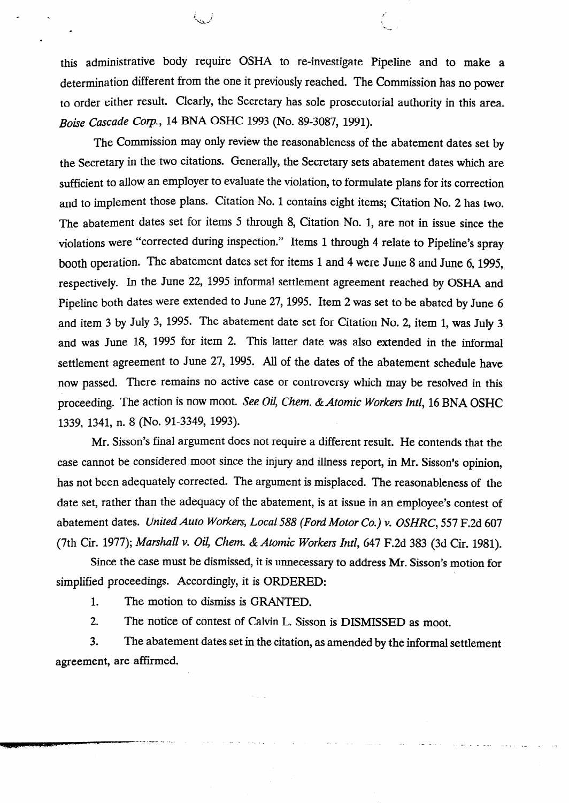this administrative body require OSHA to re-investigate Pipeline and to make a determination different from the one it previously reached. The Commission has no power to order either result. Clearly, the Secretary has sole prosecutorial authority in this area, *Boise Cascade Corp.*, *14 BNA OSHC 1993 (No. 89-3087, 1991).* 

--..

c

The Commission may only review the reasonableness of the abatement dates set by the Secretary in the two citations. Generally, the Secretary sets abatement dates which are sufficient to allow an employer to evaluate the violation, to formulate plans for its correction and to implement those plans. Citation NO. 1 contains eight items; Citation No. 2 has two, The abatement dates set for items 5 through 8, Citation No. 1, are not in issue since the violations were "corrected during inspection." Items 1 through 4 relate to Pipeline's spray booth operation. The abatement dates set for items 1 and 4 were June 8 and June 6, 1995, respectively. In the June 22, 1995 informal settlement agreement reached by OSHA and Pipeline both dates were extended to June 27, 1995. Item 2 was set to be abated by June 6 and item 3 by July 3, 1995. The abatement date set for Citation No. 2, item 1, was July 3 and was June *18, 1995 for item 2.* This latter date was also extended in the informal settlement agreement to June 27, 1995. All of the dates of the abatement schedule have now passed. There remains no active case or controversy which may be resolved in this proceeding. The action is now *moot.* see *oil, Chem. &Atomic Workers Intl, 16 BNA OSHC 1339,* 1341, n. 8 (NO. 91-3349, 1993).

Mr. Sisson's final argument does not require a different result. He contends that the case cannot be considered moot since the injury and illness report, in Mr. Sisson's opinion, has not been adequately corrected. The argument is misplaced. The reasonableness of the date set, rather than the adequacy of the abatement, is at issue in an employee's contest of abatement dates. *United Auto Workers, Local 588 (Ford Motor Co.) v. OSHRC*, 557 F.2d 607 (7th Cir. 1977); *Marshall v. Oil, Chem. & Atomic Workers Intl*, 647 F.2d 383 (3d Cir. 1981).

Since the case must be dismissed, it is unnecessary to address Mr. Sisson's motion for simplified proceedings. Accordingly, it is ORDERED:

1. The motion to dismiss is GRANTED.

2. The notice of contest of Calvin L. Sisson is DISMISSED as moot.

*3 .* The abatement dates set in the citation, as amended by the informal settlement agreement, are affirmed.